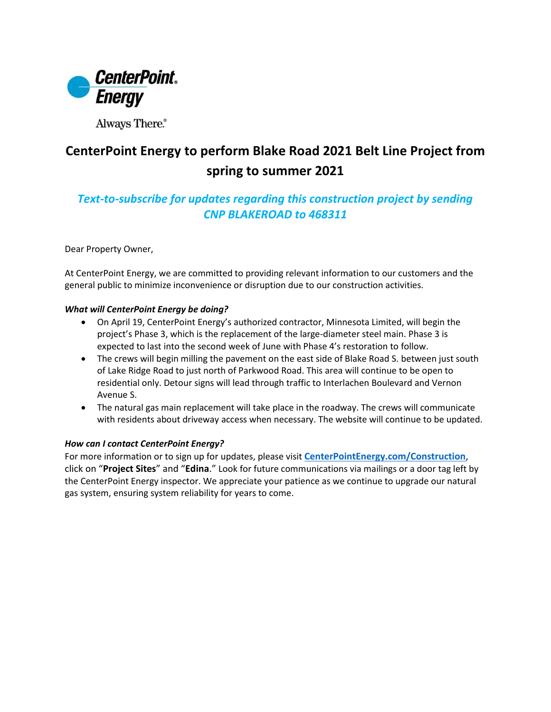

Always There.®

## **CenterPoint Energy to perform Blake Road 2021 Belt Line Project from spring to summer 2021**

## *Text-to-subscribe for updates regarding this construction project by sending CNP BLAKEROAD to 468311*

Dear Property Owner,

At CenterPoint Energy, we are committed to providing relevant information to our customers and the general public to minimize inconvenience or disruption due to our construction activities.

## *What will CenterPoint Energy be doing?*

- On April 19, CenterPoint Energy's authorized contractor, Minnesota Limited, will begin the project's Phase 3, which is the replacement of the large-diameter steel main. Phase 3 is expected to last into the second week of June with Phase 4's restoration to follow.
- The crews will begin milling the pavement on the east side of Blake Road S. between just south of Lake Ridge Road to just north of Parkwood Road. This area will continue to be open to residential only. Detour signs will lead through traffic to Interlachen Boulevard and Vernon Avenue S.
- The natural gas main replacement will take place in the roadway. The crews will communicate with residents about driveway access when necessary. The website will continue to be updated.

## *How can I contact CenterPoint Energy?*

For more information or to sign up for updates, please visit **[CenterPointEnergy.com/Construction](http://www.centerpointenergy.com/Construction)**, click on "**Project Sites**" and "**Edina**." Look for future communications via mailings or a door tag left by the CenterPoint Energy inspector. We appreciate your patience as we continue to upgrade our natural gas system, ensuring system reliability for years to come.